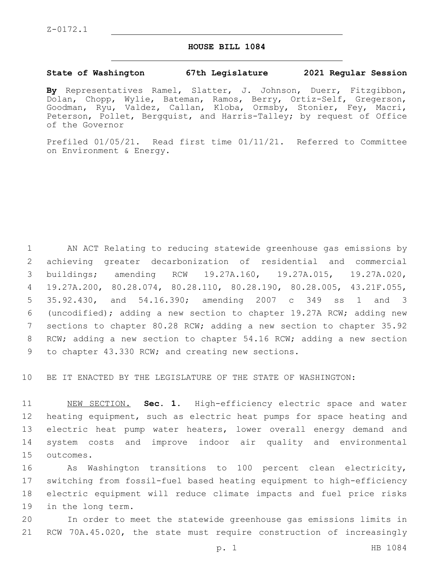## **HOUSE BILL 1084**

## **State of Washington 67th Legislature 2021 Regular Session**

**By** Representatives Ramel, Slatter, J. Johnson, Duerr, Fitzgibbon, Dolan, Chopp, Wylie, Bateman, Ramos, Berry, Ortiz-Self, Gregerson, Goodman, Ryu, Valdez, Callan, Kloba, Ormsby, Stonier, Fey, Macri, Peterson, Pollet, Bergquist, and Harris-Talley; by request of Office of the Governor

Prefiled 01/05/21. Read first time 01/11/21. Referred to Committee on Environment & Energy.

 AN ACT Relating to reducing statewide greenhouse gas emissions by achieving greater decarbonization of residential and commercial buildings; amending RCW 19.27A.160, 19.27A.015, 19.27A.020, 19.27A.200, 80.28.074, 80.28.110, 80.28.190, 80.28.005, 43.21F.055, 35.92.430, and 54.16.390; amending 2007 c 349 ss 1 and 3 (uncodified); adding a new section to chapter 19.27A RCW; adding new sections to chapter 80.28 RCW; adding a new section to chapter 35.92 RCW; adding a new section to chapter 54.16 RCW; adding a new section 9 to chapter 43.330 RCW; and creating new sections.

10 BE IT ENACTED BY THE LEGISLATURE OF THE STATE OF WASHINGTON:

 NEW SECTION. **Sec. 1.** High-efficiency electric space and water heating equipment, such as electric heat pumps for space heating and 13 electric heat pump water heaters, lower overall energy demand and system costs and improve indoor air quality and environmental outcomes.

 As Washington transitions to 100 percent clean electricity, switching from fossil-fuel based heating equipment to high-efficiency electric equipment will reduce climate impacts and fuel price risks 19 in the long term.

20 In order to meet the statewide greenhouse gas emissions limits in 21 RCW 70A.45.020, the state must require construction of increasingly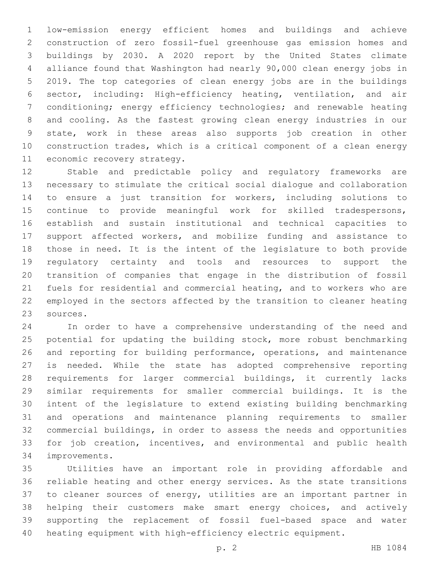low-emission energy efficient homes and buildings and achieve construction of zero fossil-fuel greenhouse gas emission homes and buildings by 2030. A 2020 report by the United States climate alliance found that Washington had nearly 90,000 clean energy jobs in 2019. The top categories of clean energy jobs are in the buildings sector, including: High-efficiency heating, ventilation, and air conditioning; energy efficiency technologies; and renewable heating and cooling. As the fastest growing clean energy industries in our state, work in these areas also supports job creation in other construction trades, which is a critical component of a clean energy 11 economic recovery strategy.

 Stable and predictable policy and regulatory frameworks are necessary to stimulate the critical social dialogue and collaboration to ensure a just transition for workers, including solutions to continue to provide meaningful work for skilled tradespersons, establish and sustain institutional and technical capacities to support affected workers, and mobilize funding and assistance to those in need. It is the intent of the legislature to both provide regulatory certainty and tools and resources to support the transition of companies that engage in the distribution of fossil fuels for residential and commercial heating, and to workers who are employed in the sectors affected by the transition to cleaner heating 23 sources.

 In order to have a comprehensive understanding of the need and potential for updating the building stock, more robust benchmarking and reporting for building performance, operations, and maintenance is needed. While the state has adopted comprehensive reporting requirements for larger commercial buildings, it currently lacks similar requirements for smaller commercial buildings. It is the intent of the legislature to extend existing building benchmarking and operations and maintenance planning requirements to smaller commercial buildings, in order to assess the needs and opportunities for job creation, incentives, and environmental and public health 34 improvements.

 Utilities have an important role in providing affordable and reliable heating and other energy services. As the state transitions to cleaner sources of energy, utilities are an important partner in helping their customers make smart energy choices, and actively supporting the replacement of fossil fuel-based space and water heating equipment with high-efficiency electric equipment.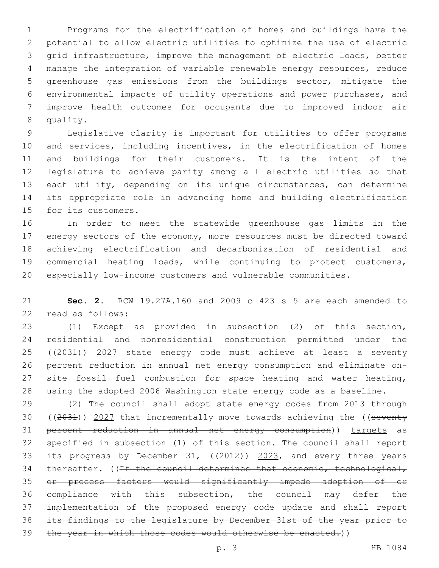Programs for the electrification of homes and buildings have the potential to allow electric utilities to optimize the use of electric grid infrastructure, improve the management of electric loads, better manage the integration of variable renewable energy resources, reduce greenhouse gas emissions from the buildings sector, mitigate the environmental impacts of utility operations and power purchases, and improve health outcomes for occupants due to improved indoor air 8 quality.

 Legislative clarity is important for utilities to offer programs and services, including incentives, in the electrification of homes and buildings for their customers. It is the intent of the legislature to achieve parity among all electric utilities so that 13 each utility, depending on its unique circumstances, can determine its appropriate role in advancing home and building electrification 15 for its customers.

 In order to meet the statewide greenhouse gas limits in the 17 energy sectors of the economy, more resources must be directed toward achieving electrification and decarbonization of residential and commercial heating loads, while continuing to protect customers, especially low-income customers and vulnerable communities.

 **Sec. 2.** RCW 19.27A.160 and 2009 c 423 s 5 are each amended to 22 read as follows:

 (1) Except as provided in subsection (2) of this section, residential and nonresidential construction permitted under the 25 ((2031)) 2027 state energy code must achieve at least a seventy percent reduction in annual net energy consumption and eliminate on-27 site fossil fuel combustion for space heating and water heating, using the adopted 2006 Washington state energy code as a baseline.

 (2) The council shall adopt state energy codes from 2013 through 30 ((2031)) 2027 that incrementally move towards achieving the ((seventy percent reduction in annual net energy consumption)) targets as specified in subsection (1) of this section. The council shall report 33 its progress by December 31, ((2012)) 2023, and every three years 34 thereafter. ( $If the count the termines that economic, technical,$  or process factors would significantly impede adoption of or compliance with this subsection, the council may defer the implementation of the proposed energy code update and shall report its findings to the legislature by December 31st of the year prior to 39 the year in which those codes would otherwise be enacted.))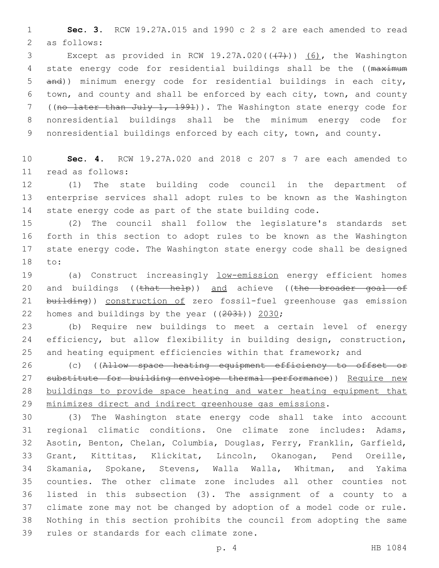**Sec. 3.** RCW 19.27A.015 and 1990 c 2 s 2 are each amended to read 2 as follows:

3 Except as provided in RCW  $19.27A.020((\overline{+7})^2)$  (6), the Washington 4 state energy code for residential buildings shall be the ((maximum and)) minimum energy code for residential buildings in each city, town, and county and shall be enforced by each city, town, and county ((no later than July 1, 1991)). The Washington state energy code for nonresidential buildings shall be the minimum energy code for 9 nonresidential buildings enforced by each city, town, and county.

 **Sec. 4.** RCW 19.27A.020 and 2018 c 207 s 7 are each amended to read as follows:11

 (1) The state building code council in the department of enterprise services shall adopt rules to be known as the Washington state energy code as part of the state building code.

 (2) The council shall follow the legislature's standards set forth in this section to adopt rules to be known as the Washington state energy code. The Washington state energy code shall be designed 18 to:

 (a) Construct increasingly low-emission energy efficient homes 20 and buildings ((that help)) and achieve ((the broader goal of 21 building)) construction of zero fossil-fuel greenhouse gas emission 22 homes and buildings by the year  $((2031))$  2030;

 (b) Require new buildings to meet a certain level of energy efficiency, but allow flexibility in building design, construction, and heating equipment efficiencies within that framework; and

26 (c) ((Allow space heating equipment efficiency to offset or 27 substitute for building envelope thermal performance)) Require new buildings to provide space heating and water heating equipment that minimizes direct and indirect greenhouse gas emissions.

 (3) The Washington state energy code shall take into account regional climatic conditions. One climate zone includes: Adams, Asotin, Benton, Chelan, Columbia, Douglas, Ferry, Franklin, Garfield, Grant, Kittitas, Klickitat, Lincoln, Okanogan, Pend Oreille, Skamania, Spokane, Stevens, Walla Walla, Whitman, and Yakima counties. The other climate zone includes all other counties not listed in this subsection (3). The assignment of a county to a climate zone may not be changed by adoption of a model code or rule. Nothing in this section prohibits the council from adopting the same 39 rules or standards for each climate zone.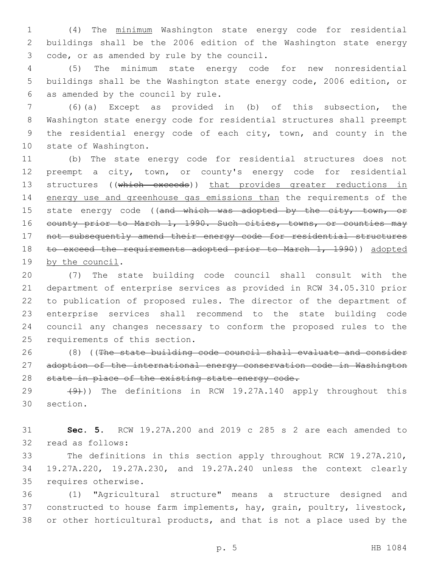(4) The minimum Washington state energy code for residential buildings shall be the 2006 edition of the Washington state energy 3 code, or as amended by rule by the council.

 (5) The minimum state energy code for new nonresidential buildings shall be the Washington state energy code, 2006 edition, or 6 as amended by the council by rule.

 (6)(a) Except as provided in (b) of this subsection, the Washington state energy code for residential structures shall preempt the residential energy code of each city, town, and county in the 10 state of Washington.

 (b) The state energy code for residential structures does not preempt a city, town, or county's energy code for residential 13 structures ((which exceeds)) that provides greater reductions in energy use and greenhouse gas emissions than the requirements of the 15 state energy code ((and which was adopted by the city, town, or 16 county prior to March 1, 1990. Such cities, towns, or counties may not subsequently amend their energy code for residential structures 18 to exceed the requirements adopted prior to March 1, 1990)) adopted 19 by the council.

 (7) The state building code council shall consult with the department of enterprise services as provided in RCW 34.05.310 prior to publication of proposed rules. The director of the department of enterprise services shall recommend to the state building code council any changes necessary to conform the proposed rules to the 25 requirements of this section.

 (8) ((The state building code council shall evaluate and consider adoption of the international energy conservation code in Washington 28 state in place of the existing state energy code.

29  $(9)$ )) The definitions in RCW 19.27A.140 apply throughout this 30 section.

 **Sec. 5.** RCW 19.27A.200 and 2019 c 285 s 2 are each amended to 32 read as follows:

 The definitions in this section apply throughout RCW 19.27A.210, 19.27A.220, 19.27A.230, and 19.27A.240 unless the context clearly 35 requires otherwise.

 (1) "Agricultural structure" means a structure designed and constructed to house farm implements, hay, grain, poultry, livestock, or other horticultural products, and that is not a place used by the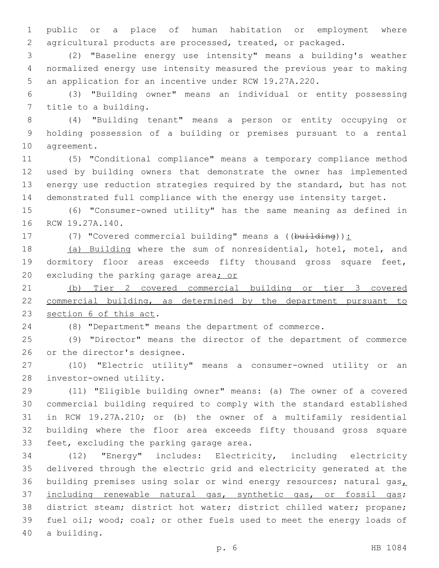public or a place of human habitation or employment where agricultural products are processed, treated, or packaged.

 (2) "Baseline energy use intensity" means a building's weather normalized energy use intensity measured the previous year to making an application for an incentive under RCW 19.27A.220.

 (3) "Building owner" means an individual or entity possessing 7 title to a building.

 (4) "Building tenant" means a person or entity occupying or holding possession of a building or premises pursuant to a rental 10 agreement.

 (5) "Conditional compliance" means a temporary compliance method used by building owners that demonstrate the owner has implemented energy use reduction strategies required by the standard, but has not demonstrated full compliance with the energy use intensity target.

 (6) "Consumer-owned utility" has the same meaning as defined in 16 RCW 19.27A.140.

17 (7) "Covered commercial building" means a ((building)):

 (a) Building where the sum of nonresidential, hotel, motel, and dormitory floor areas exceeds fifty thousand gross square feet, 20 excluding the parking garage area; or

 (b) Tier 2 covered commercial building or tier 3 covered commercial building, as determined by the department pursuant to 23 section 6 of this act.

(8) "Department" means the department of commerce.

 (9) "Director" means the director of the department of commerce 26 or the director's designee.

 (10) "Electric utility" means a consumer-owned utility or an 28 investor-owned utility.

 (11) "Eligible building owner" means: (a) The owner of a covered commercial building required to comply with the standard established in RCW 19.27A.210; or (b) the owner of a multifamily residential building where the floor area exceeds fifty thousand gross square 33 feet, excluding the parking garage area.

 (12) "Energy" includes: Electricity, including electricity delivered through the electric grid and electricity generated at the 36 building premises using solar or wind energy resources; natural gas $_L$  including renewable natural gas, synthetic gas, or fossil gas; district steam; district hot water; district chilled water; propane; fuel oil; wood; coal; or other fuels used to meet the energy loads of 40 a building.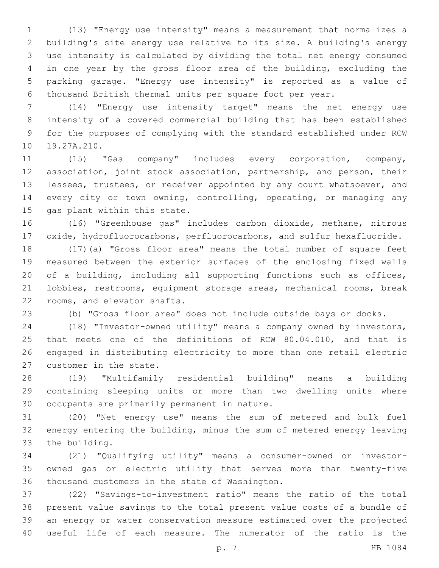(13) "Energy use intensity" means a measurement that normalizes a building's site energy use relative to its size. A building's energy use intensity is calculated by dividing the total net energy consumed in one year by the gross floor area of the building, excluding the parking garage. "Energy use intensity" is reported as a value of thousand British thermal units per square foot per year.

 (14) "Energy use intensity target" means the net energy use intensity of a covered commercial building that has been established for the purposes of complying with the standard established under RCW 10 19.27A.210.

 (15) "Gas company" includes every corporation, company, association, joint stock association, partnership, and person, their lessees, trustees, or receiver appointed by any court whatsoever, and 14 every city or town owning, controlling, operating, or managing any 15 gas plant within this state.

 (16) "Greenhouse gas" includes carbon dioxide, methane, nitrous oxide, hydrofluorocarbons, perfluorocarbons, and sulfur hexafluoride.

 (17)(a) "Gross floor area" means the total number of square feet measured between the exterior surfaces of the enclosing fixed walls of a building, including all supporting functions such as offices, lobbies, restrooms, equipment storage areas, mechanical rooms, break 22 rooms, and elevator shafts.

(b) "Gross floor area" does not include outside bays or docks.

 (18) "Investor-owned utility" means a company owned by investors, that meets one of the definitions of RCW 80.04.010, and that is engaged in distributing electricity to more than one retail electric 27 customer in the state.

 (19) "Multifamily residential building" means a building containing sleeping units or more than two dwelling units where 30 occupants are primarily permanent in nature.

 (20) "Net energy use" means the sum of metered and bulk fuel energy entering the building, minus the sum of metered energy leaving 33 the building.

 (21) "Qualifying utility" means a consumer-owned or investor- owned gas or electric utility that serves more than twenty-five 36 thousand customers in the state of Washington.

 (22) "Savings-to-investment ratio" means the ratio of the total present value savings to the total present value costs of a bundle of an energy or water conservation measure estimated over the projected useful life of each measure. The numerator of the ratio is the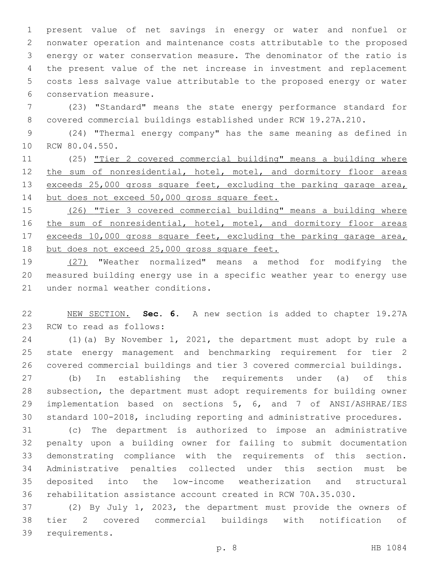present value of net savings in energy or water and nonfuel or nonwater operation and maintenance costs attributable to the proposed energy or water conservation measure. The denominator of the ratio is the present value of the net increase in investment and replacement costs less salvage value attributable to the proposed energy or water 6 conservation measure.

 (23) "Standard" means the state energy performance standard for covered commercial buildings established under RCW 19.27A.210.

 (24) "Thermal energy company" has the same meaning as defined in 10 RCW 80.04.550.

 (25) "Tier 2 covered commercial building" means a building where 12 the sum of nonresidential, hotel, motel, and dormitory floor areas 13 exceeds 25,000 gross square feet, excluding the parking garage area, but does not exceed 50,000 gross square feet.

 (26) "Tier 3 covered commercial building" means a building where 16 the sum of nonresidential, hotel, motel, and dormitory floor areas 17 exceeds 10,000 gross square feet, excluding the parking garage area, 18 but does not exceed 25,000 gross square feet.

 (27) "Weather normalized" means a method for modifying the measured building energy use in a specific weather year to energy use 21 under normal weather conditions.

 NEW SECTION. **Sec. 6.** A new section is added to chapter 19.27A 23 RCW to read as follows:

 (1)(a) By November 1, 2021, the department must adopt by rule a state energy management and benchmarking requirement for tier 2 covered commercial buildings and tier 3 covered commercial buildings.

 (b) In establishing the requirements under (a) of this subsection, the department must adopt requirements for building owner implementation based on sections 5, 6, and 7 of ANSI/ASHRAE/IES standard 100-2018, including reporting and administrative procedures.

 (c) The department is authorized to impose an administrative penalty upon a building owner for failing to submit documentation demonstrating compliance with the requirements of this section. Administrative penalties collected under this section must be deposited into the low-income weatherization and structural rehabilitation assistance account created in RCW 70A.35.030.

 (2) By July 1, 2023, the department must provide the owners of tier 2 covered commercial buildings with notification of 39 requirements.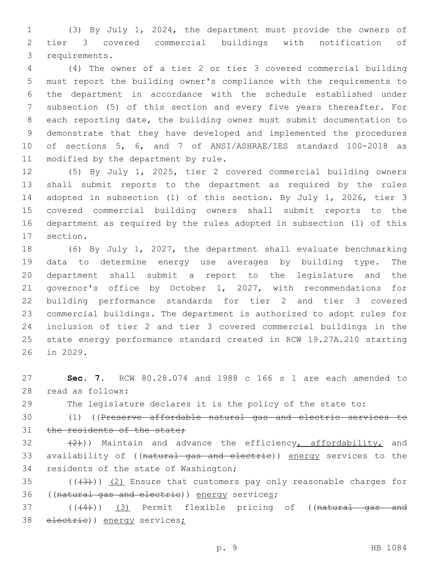(3) By July 1, 2024, the department must provide the owners of tier 3 covered commercial buildings with notification of 3 requirements.

 (4) The owner of a tier 2 or tier 3 covered commercial building must report the building owner's compliance with the requirements to the department in accordance with the schedule established under subsection (5) of this section and every five years thereafter. For each reporting date, the building owner must submit documentation to demonstrate that they have developed and implemented the procedures of sections 5, 6, and 7 of ANSI/ASHRAE/IES standard 100-2018 as 11 modified by the department by rule.

 (5) By July 1, 2025, tier 2 covered commercial building owners shall submit reports to the department as required by the rules adopted in subsection (1) of this section. By July 1, 2026, tier 3 covered commercial building owners shall submit reports to the department as required by the rules adopted in subsection (1) of this 17 section.

 (6) By July 1, 2027, the department shall evaluate benchmarking data to determine energy use averages by building type. The department shall submit a report to the legislature and the governor's office by October 1, 2027, with recommendations for building performance standards for tier 2 and tier 3 covered commercial buildings. The department is authorized to adopt rules for inclusion of tier 2 and tier 3 covered commercial buildings in the state energy performance standard created in RCW 19.27A.210 starting 26 in 2029.

 **Sec. 7.** RCW 80.28.074 and 1988 c 166 s 1 are each amended to read as follows:28

The legislature declares it is the policy of the state to:

 (1) ((Preserve affordable natural gas and electric services to 31 the residents of the state;

32  $(2)$ )) Maintain and advance the efficiency, affordability, and availability of ((natural gas and electric)) energy services to the 34 residents of the state of Washington;

35  $((+3+))$   $(2)$  Ensure that customers pay only reasonable charges for 36 ((natural gas and electric)) energy services;

37 (((4))) (3) Permit flexible pricing of ((natural gas and 38 electrie)) energy services;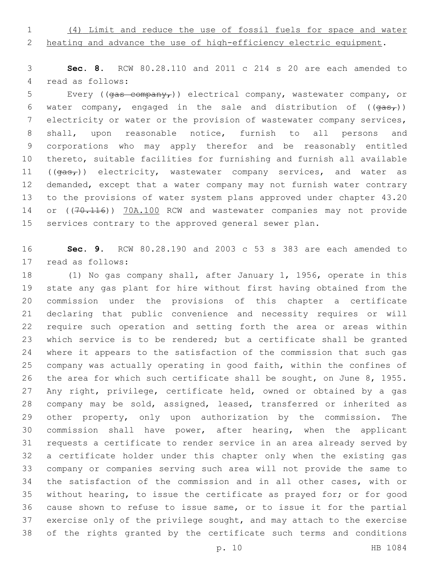(4) Limit and reduce the use of fossil fuels for space and water

2 heating and advance the use of high-efficiency electric equipment.

 **Sec. 8.** RCW 80.28.110 and 2011 c 214 s 20 are each amended to 4 read as follows:

5 Every ( $(qas$  company<sub>r</sub>)) electrical company, wastewater company, or 6 water company, engaged in the sale and distribution of  $((\frac{1}{\sqrt{2\pi}})^n)$  electricity or water or the provision of wastewater company services, shall, upon reasonable notice, furnish to all persons and corporations who may apply therefor and be reasonably entitled thereto, suitable facilities for furnishing and furnish all available 11 ( $(qas<sub>r</sub>)$ ) electricity, wastewater company services, and water as demanded, except that a water company may not furnish water contrary to the provisions of water system plans approved under chapter 43.20 14 or ((70.116)) 70A.100 RCW and wastewater companies may not provide services contrary to the approved general sewer plan.

 **Sec. 9.** RCW 80.28.190 and 2003 c 53 s 383 are each amended to 17 read as follows:

 (1) No gas company shall, after January 1, 1956, operate in this state any gas plant for hire without first having obtained from the commission under the provisions of this chapter a certificate declaring that public convenience and necessity requires or will require such operation and setting forth the area or areas within 23 which service is to be rendered; but a certificate shall be granted where it appears to the satisfaction of the commission that such gas company was actually operating in good faith, within the confines of the area for which such certificate shall be sought, on June 8, 1955. Any right, privilege, certificate held, owned or obtained by a gas company may be sold, assigned, leased, transferred or inherited as other property, only upon authorization by the commission. The commission shall have power, after hearing, when the applicant requests a certificate to render service in an area already served by a certificate holder under this chapter only when the existing gas company or companies serving such area will not provide the same to the satisfaction of the commission and in all other cases, with or without hearing, to issue the certificate as prayed for; or for good cause shown to refuse to issue same, or to issue it for the partial exercise only of the privilege sought, and may attach to the exercise of the rights granted by the certificate such terms and conditions

p. 10 HB 1084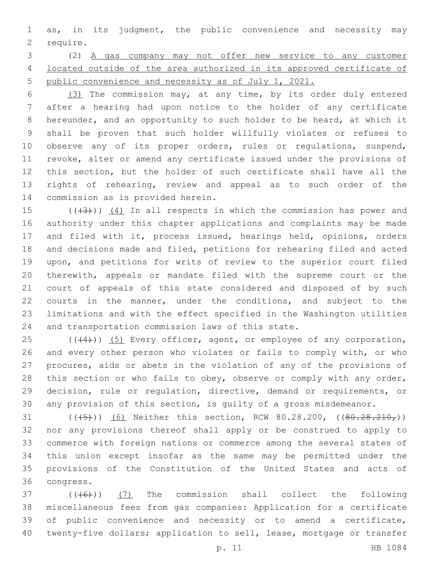as, in its judgment, the public convenience and necessity may 2 require.

 (2) A gas company may not offer new service to any customer located outside of the area authorized in its approved certificate of public convenience and necessity as of July 1, 2021.

 (3) The commission may, at any time, by its order duly entered after a hearing had upon notice to the holder of any certificate hereunder, and an opportunity to such holder to be heard, at which it shall be proven that such holder willfully violates or refuses to 10 observe any of its proper orders, rules or regulations, suspend, revoke, alter or amend any certificate issued under the provisions of this section, but the holder of such certificate shall have all the rights of rehearing, review and appeal as to such order of the 14 commission as is provided herein.

 $((+3+))$   $(4)$  In all respects in which the commission has power and authority under this chapter applications and complaints may be made and filed with it, process issued, hearings held, opinions, orders and decisions made and filed, petitions for rehearing filed and acted upon, and petitions for writs of review to the superior court filed therewith, appeals or mandate filed with the supreme court or the court of appeals of this state considered and disposed of by such courts in the manner, under the conditions, and subject to the limitations and with the effect specified in the Washington utilities 24 and transportation commission laws of this state.

 ( $(44)$ )) (5) Every officer, agent, or employee of any corporation, and every other person who violates or fails to comply with, or who procures, aids or abets in the violation of any of the provisions of 28 this section or who fails to obey, observe or comply with any order, decision, rule or regulation, directive, demand or requirements, or any provision of this section, is guilty of a gross misdemeanor.

31 (( $(45)$ )) (6) Neither this section, RCW 80.28.200, ( $(80.28.210)$ ) nor any provisions thereof shall apply or be construed to apply to commerce with foreign nations or commerce among the several states of this union except insofar as the same may be permitted under the provisions of the Constitution of the United States and acts of 36 congress.

 $(1 + 6)$  (( $(6)$ )) (7) The commission shall collect the following miscellaneous fees from gas companies: Application for a certificate of public convenience and necessity or to amend a certificate, twenty-five dollars; application to sell, lease, mortgage or transfer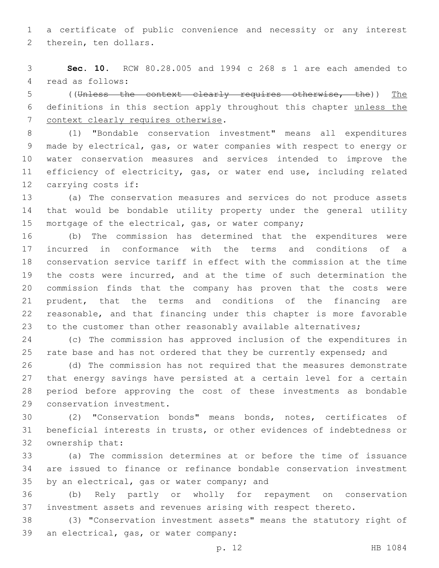a certificate of public convenience and necessity or any interest 2 therein, ten dollars.

 **Sec. 10.** RCW 80.28.005 and 1994 c 268 s 1 are each amended to 4 read as follows:

 ((Unless the context clearly requires otherwise, the)) The definitions in this section apply throughout this chapter unless the 7 context clearly requires otherwise.

 (1) "Bondable conservation investment" means all expenditures made by electrical, gas, or water companies with respect to energy or water conservation measures and services intended to improve the efficiency of electricity, gas, or water end use, including related 12 carrying costs if:

 (a) The conservation measures and services do not produce assets that would be bondable utility property under the general utility 15 mortgage of the electrical, gas, or water company;

 (b) The commission has determined that the expenditures were incurred in conformance with the terms and conditions of a conservation service tariff in effect with the commission at the time the costs were incurred, and at the time of such determination the commission finds that the company has proven that the costs were prudent, that the terms and conditions of the financing are reasonable, and that financing under this chapter is more favorable to the customer than other reasonably available alternatives;

 (c) The commission has approved inclusion of the expenditures in 25 rate base and has not ordered that they be currently expensed; and

 (d) The commission has not required that the measures demonstrate that energy savings have persisted at a certain level for a certain period before approving the cost of these investments as bondable 29 conservation investment.

 (2) "Conservation bonds" means bonds, notes, certificates of beneficial interests in trusts, or other evidences of indebtedness or 32 ownership that:

 (a) The commission determines at or before the time of issuance are issued to finance or refinance bondable conservation investment 35 by an electrical, gas or water company; and

 (b) Rely partly or wholly for repayment on conservation investment assets and revenues arising with respect thereto.

 (3) "Conservation investment assets" means the statutory right of 39 an electrical, gas, or water company: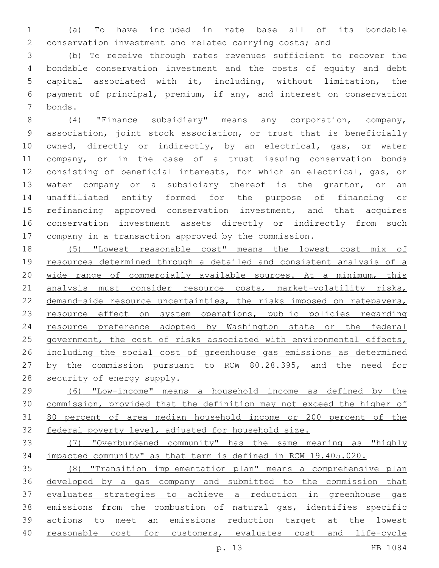(a) To have included in rate base all of its bondable conservation investment and related carrying costs; and

 (b) To receive through rates revenues sufficient to recover the bondable conservation investment and the costs of equity and debt capital associated with it, including, without limitation, the payment of principal, premium, if any, and interest on conservation bonds.7

 (4) "Finance subsidiary" means any corporation, company, association, joint stock association, or trust that is beneficially owned, directly or indirectly, by an electrical, gas, or water company, or in the case of a trust issuing conservation bonds consisting of beneficial interests, for which an electrical, gas, or water company or a subsidiary thereof is the grantor, or an unaffiliated entity formed for the purpose of financing or 15 refinancing approved conservation investment, and that acquires conservation investment assets directly or indirectly from such company in a transaction approved by the commission.

 (5) "Lowest reasonable cost" means the lowest cost mix of 19 resources determined through a detailed and consistent analysis of a wide range of commercially available sources. At a minimum, this 21 analysis must consider resource costs, market-volatility risks, 22 demand-side resource uncertainties, the risks imposed on ratepayers, resource effect on system operations, public policies regarding resource preference adopted by Washington state or the federal 25 government, the cost of risks associated with environmental effects, including the social cost of greenhouse gas emissions as determined by the commission pursuant to RCW 80.28.395, and the need for 28 security of energy supply.

 (6) "Low-income" means a household income as defined by the commission, provided that the definition may not exceed the higher of 80 percent of area median household income or 200 percent of the federal poverty level, adjusted for household size.

 (7) "Overburdened community" has the same meaning as "highly impacted community" as that term is defined in RCW 19.405.020.

 (8) "Transition implementation plan" means a comprehensive plan developed by a gas company and submitted to the commission that evaluates strategies to achieve a reduction in greenhouse gas emissions from the combustion of natural gas, identifies specific actions to meet an emissions reduction target at the lowest 40 reasonable cost for customers, evaluates cost and life-cycle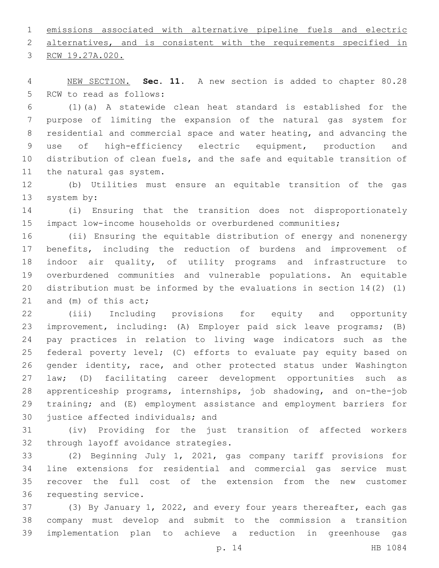emissions associated with alternative pipeline fuels and electric 2 alternatives, and is consistent with the requirements specified in

3 RCW 19.27A.020.

 NEW SECTION. **Sec. 11.** A new section is added to chapter 80.28 5 RCW to read as follows:

 (1)(a) A statewide clean heat standard is established for the purpose of limiting the expansion of the natural gas system for residential and commercial space and water heating, and advancing the use of high-efficiency electric equipment, production and distribution of clean fuels, and the safe and equitable transition of 11 the natural gas system.

 (b) Utilities must ensure an equitable transition of the gas 13 system by:

 (i) Ensuring that the transition does not disproportionately impact low-income households or overburdened communities;

 (ii) Ensuring the equitable distribution of energy and nonenergy benefits, including the reduction of burdens and improvement of indoor air quality, of utility programs and infrastructure to overburdened communities and vulnerable populations. An equitable distribution must be informed by the evaluations in section 14(2) (l) 21 and  $(m)$  of this act;

 (iii) Including provisions for equity and opportunity improvement, including: (A) Employer paid sick leave programs; (B) pay practices in relation to living wage indicators such as the federal poverty level; (C) efforts to evaluate pay equity based on gender identity, race, and other protected status under Washington law; (D) facilitating career development opportunities such as apprenticeship programs, internships, job shadowing, and on-the-job training; and (E) employment assistance and employment barriers for 30 justice affected individuals; and

 (iv) Providing for the just transition of affected workers 32 through layoff avoidance strategies.

 (2) Beginning July 1, 2021, gas company tariff provisions for line extensions for residential and commercial gas service must recover the full cost of the extension from the new customer 36 requesting service.

 (3) By January 1, 2022, and every four years thereafter, each gas company must develop and submit to the commission a transition implementation plan to achieve a reduction in greenhouse gas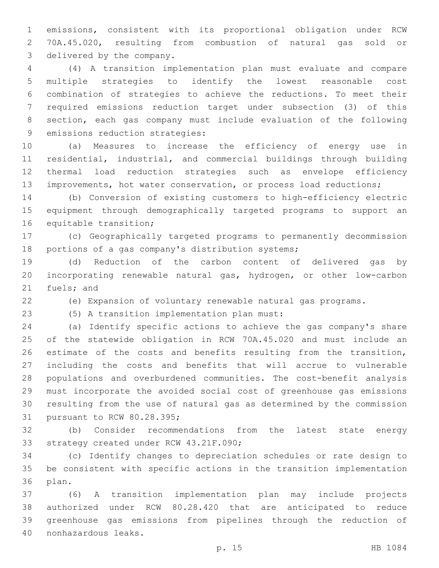emissions, consistent with its proportional obligation under RCW 70A.45.020, resulting from combustion of natural gas sold or 3 delivered by the company.

 (4) A transition implementation plan must evaluate and compare multiple strategies to identify the lowest reasonable cost combination of strategies to achieve the reductions. To meet their required emissions reduction target under subsection (3) of this section, each gas company must include evaluation of the following 9 emissions reduction strategies:

 (a) Measures to increase the efficiency of energy use in residential, industrial, and commercial buildings through building thermal load reduction strategies such as envelope efficiency 13 improvements, hot water conservation, or process load reductions;

 (b) Conversion of existing customers to high-efficiency electric equipment through demographically targeted programs to support an 16 equitable transition;

 (c) Geographically targeted programs to permanently decommission 18 portions of a gas company's distribution systems;

 (d) Reduction of the carbon content of delivered gas by incorporating renewable natural gas, hydrogen, or other low-carbon 21 fuels; and

(e) Expansion of voluntary renewable natural gas programs.

(5) A transition implementation plan must:23

 (a) Identify specific actions to achieve the gas company's share of the statewide obligation in RCW 70A.45.020 and must include an estimate of the costs and benefits resulting from the transition, including the costs and benefits that will accrue to vulnerable populations and overburdened communities. The cost-benefit analysis must incorporate the avoided social cost of greenhouse gas emissions resulting from the use of natural gas as determined by the commission 31 pursuant to RCW 80.28.395;

 (b) Consider recommendations from the latest state energy 33 strategy created under RCW 43.21F.090;

 (c) Identify changes to depreciation schedules or rate design to be consistent with specific actions in the transition implementation 36 plan.

 (6) A transition implementation plan may include projects authorized under RCW 80.28.420 that are anticipated to reduce greenhouse gas emissions from pipelines through the reduction of nonhazardous leaks.40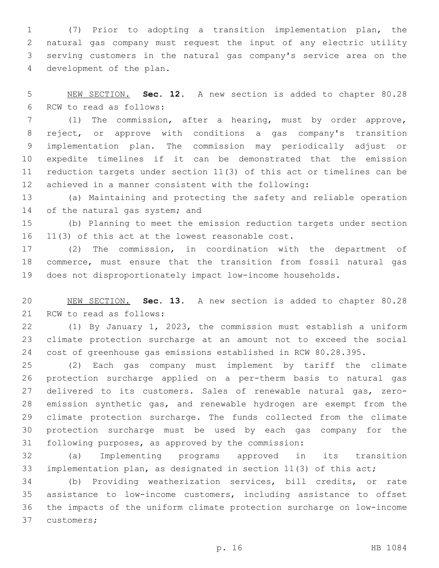(7) Prior to adopting a transition implementation plan, the natural gas company must request the input of any electric utility serving customers in the natural gas company's service area on the 4 development of the plan.

 NEW SECTION. **Sec. 12.** A new section is added to chapter 80.28 6 RCW to read as follows:

 (1) The commission, after a hearing, must by order approve, reject, or approve with conditions a gas company's transition implementation plan. The commission may periodically adjust or expedite timelines if it can be demonstrated that the emission reduction targets under section 11(3) of this act or timelines can be achieved in a manner consistent with the following:

 (a) Maintaining and protecting the safety and reliable operation 14 of the natural gas system; and

 (b) Planning to meet the emission reduction targets under section 16  $11(3)$  of this act at the lowest reasonable cost.

 (2) The commission, in coordination with the department of commerce, must ensure that the transition from fossil natural gas does not disproportionately impact low-income households.

 NEW SECTION. **Sec. 13.** A new section is added to chapter 80.28 21 RCW to read as follows:

 (1) By January 1, 2023, the commission must establish a uniform climate protection surcharge at an amount not to exceed the social cost of greenhouse gas emissions established in RCW 80.28.395.

 (2) Each gas company must implement by tariff the climate protection surcharge applied on a per-therm basis to natural gas delivered to its customers. Sales of renewable natural gas, zero- emission synthetic gas, and renewable hydrogen are exempt from the climate protection surcharge. The funds collected from the climate protection surcharge must be used by each gas company for the following purposes, as approved by the commission:

 (a) Implementing programs approved in its transition implementation plan, as designated in section 11(3) of this act;

 (b) Providing weatherization services, bill credits, or rate assistance to low-income customers, including assistance to offset the impacts of the uniform climate protection surcharge on low-income 37 customers;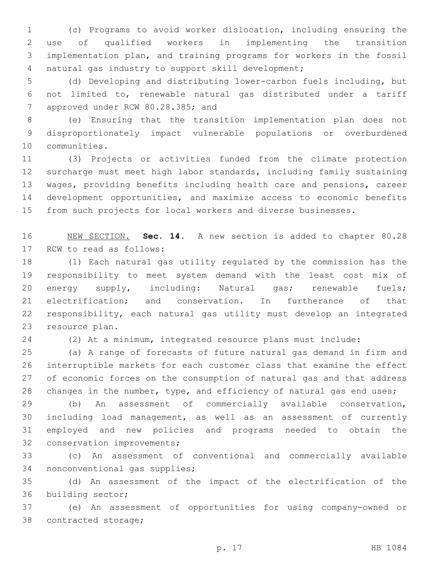(c) Programs to avoid worker dislocation, including ensuring the use of qualified workers in implementing the transition implementation plan, and training programs for workers in the fossil natural gas industry to support skill development;4

 (d) Developing and distributing lower-carbon fuels including, but not limited to, renewable natural gas distributed under a tariff 7 approved under RCW 80.28.385; and

 (e) Ensuring that the transition implementation plan does not disproportionately impact vulnerable populations or overburdened 10 communities.

 (3) Projects or activities funded from the climate protection surcharge must meet high labor standards, including family sustaining wages, providing benefits including health care and pensions, career development opportunities, and maximize access to economic benefits from such projects for local workers and diverse businesses.

 NEW SECTION. **Sec. 14.** A new section is added to chapter 80.28 17 RCW to read as follows:

 (1) Each natural gas utility regulated by the commission has the responsibility to meet system demand with the least cost mix of 20 energy supply, including: Natural gas; renewable fuels; electrification; and conservation. In furtherance of that responsibility, each natural gas utility must develop an integrated 23 resource plan.

(2) At a minimum, integrated resource plans must include:

 (a) A range of forecasts of future natural gas demand in firm and interruptible markets for each customer class that examine the effect of economic forces on the consumption of natural gas and that address 28 changes in the number, type, and efficiency of natural gas end uses;

 (b) An assessment of commercially available conservation, including load management, as well as an assessment of currently employed and new policies and programs needed to obtain the 32 conservation improvements;

 (c) An assessment of conventional and commercially available 34 nonconventional gas supplies;

 (d) An assessment of the impact of the electrification of the 36 building sector;

 (e) An assessment of opportunities for using company-owned or 38 contracted storage;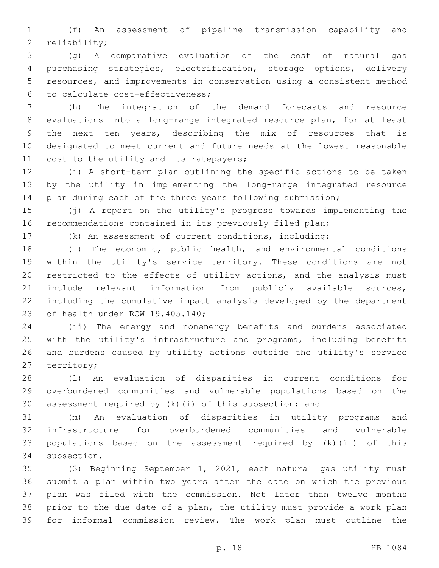(f) An assessment of pipeline transmission capability and 2 reliability;

 (g) A comparative evaluation of the cost of natural gas purchasing strategies, electrification, storage options, delivery resources, and improvements in conservation using a consistent method to calculate cost-effectiveness;6

 (h) The integration of the demand forecasts and resource evaluations into a long-range integrated resource plan, for at least the next ten years, describing the mix of resources that is designated to meet current and future needs at the lowest reasonable 11 cost to the utility and its ratepayers;

 (i) A short-term plan outlining the specific actions to be taken by the utility in implementing the long-range integrated resource plan during each of the three years following submission;

 (j) A report on the utility's progress towards implementing the recommendations contained in its previously filed plan;

(k) An assessment of current conditions, including:

 (i) The economic, public health, and environmental conditions within the utility's service territory. These conditions are not restricted to the effects of utility actions, and the analysis must include relevant information from publicly available sources, including the cumulative impact analysis developed by the department 23 of health under RCW 19.405.140;

 (ii) The energy and nonenergy benefits and burdens associated with the utility's infrastructure and programs, including benefits and burdens caused by utility actions outside the utility's service 27 territory;

 (l) An evaluation of disparities in current conditions for overburdened communities and vulnerable populations based on the assessment required by (k)(i) of this subsection; and

 (m) An evaluation of disparities in utility programs and infrastructure for overburdened communities and vulnerable populations based on the assessment required by (k)(ii) of this 34 subsection.

 (3) Beginning September 1, 2021, each natural gas utility must submit a plan within two years after the date on which the previous plan was filed with the commission. Not later than twelve months prior to the due date of a plan, the utility must provide a work plan for informal commission review. The work plan must outline the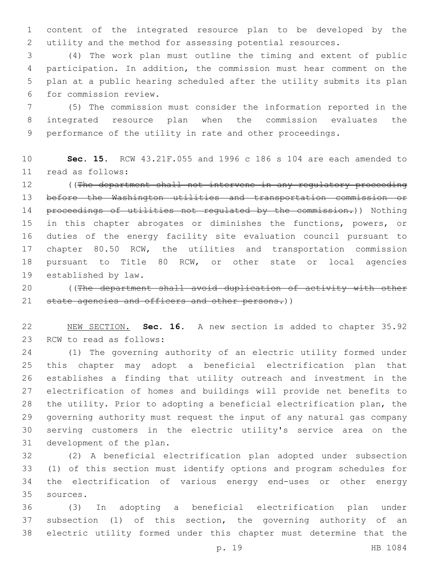content of the integrated resource plan to be developed by the utility and the method for assessing potential resources.

 (4) The work plan must outline the timing and extent of public participation. In addition, the commission must hear comment on the plan at a public hearing scheduled after the utility submits its plan 6 for commission review.

 (5) The commission must consider the information reported in the integrated resource plan when the commission evaluates the performance of the utility in rate and other proceedings.

 **Sec. 15.** RCW 43.21F.055 and 1996 c 186 s 104 are each amended to read as follows:11

 ((The department shall not intervene in any regulatory proceeding before the Washington utilities and transportation commission or proceedings of utilities not regulated by the commission.)) Nothing 15 in this chapter abrogates or diminishes the functions, powers, or duties of the energy facility site evaluation council pursuant to chapter 80.50 RCW, the utilities and transportation commission pursuant to Title 80 RCW, or other state or local agencies 19 established by law.

 ((The department shall avoid duplication of activity with other 21 state agencies and officers and other persons.))

 NEW SECTION. **Sec. 16.** A new section is added to chapter 35.92 23 RCW to read as follows:

 (1) The governing authority of an electric utility formed under this chapter may adopt a beneficial electrification plan that establishes a finding that utility outreach and investment in the electrification of homes and buildings will provide net benefits to the utility. Prior to adopting a beneficial electrification plan, the governing authority must request the input of any natural gas company serving customers in the electric utility's service area on the 31 development of the plan.

 (2) A beneficial electrification plan adopted under subsection (1) of this section must identify options and program schedules for the electrification of various energy end-uses or other energy sources.35

 (3) In adopting a beneficial electrification plan under subsection (1) of this section, the governing authority of an electric utility formed under this chapter must determine that the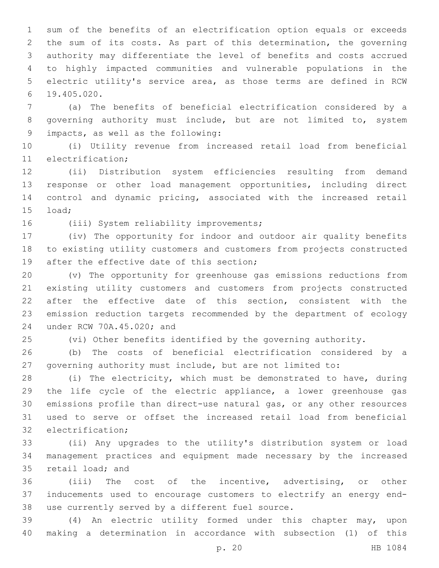sum of the benefits of an electrification option equals or exceeds the sum of its costs. As part of this determination, the governing authority may differentiate the level of benefits and costs accrued to highly impacted communities and vulnerable populations in the electric utility's service area, as those terms are defined in RCW 19.405.020.6

 (a) The benefits of beneficial electrification considered by a governing authority must include, but are not limited to, system impacts, as well as the following:9

 (i) Utility revenue from increased retail load from beneficial 11 electrification;

 (ii) Distribution system efficiencies resulting from demand response or other load management opportunities, including direct control and dynamic pricing, associated with the increased retail 15 load;

16 (iii) System reliability improvements;

 (iv) The opportunity for indoor and outdoor air quality benefits to existing utility customers and customers from projects constructed 19 after the effective date of this section;

 (v) The opportunity for greenhouse gas emissions reductions from existing utility customers and customers from projects constructed after the effective date of this section, consistent with the emission reduction targets recommended by the department of ecology 24 under RCW 70A.45.020; and

(vi) Other benefits identified by the governing authority.

 (b) The costs of beneficial electrification considered by a governing authority must include, but are not limited to:

 (i) The electricity, which must be demonstrated to have, during the life cycle of the electric appliance, a lower greenhouse gas emissions profile than direct-use natural gas, or any other resources used to serve or offset the increased retail load from beneficial 32 electrification:

 (ii) Any upgrades to the utility's distribution system or load management practices and equipment made necessary by the increased 35 retail load; and

 (iii) The cost of the incentive, advertising, or other inducements used to encourage customers to electrify an energy end-38 use currently served by a different fuel source.

 (4) An electric utility formed under this chapter may, upon making a determination in accordance with subsection (1) of this

p. 20 HB 1084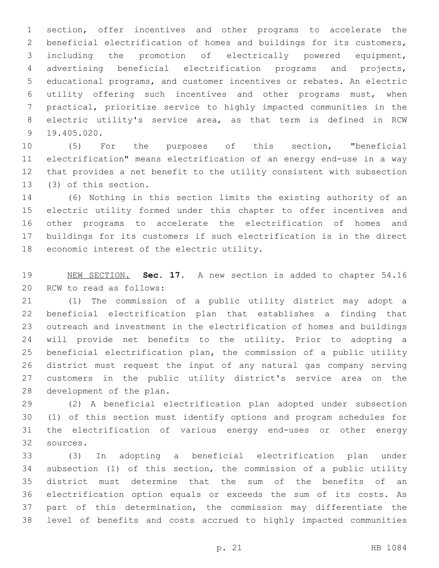section, offer incentives and other programs to accelerate the beneficial electrification of homes and buildings for its customers, including the promotion of electrically powered equipment, advertising beneficial electrification programs and projects, educational programs, and customer incentives or rebates. An electric utility offering such incentives and other programs must, when practical, prioritize service to highly impacted communities in the electric utility's service area, as that term is defined in RCW 19.405.020.9

 (5) For the purposes of this section, "beneficial electrification" means electrification of an energy end-use in a way that provides a net benefit to the utility consistent with subsection 13 (3) of this section.

 (6) Nothing in this section limits the existing authority of an electric utility formed under this chapter to offer incentives and other programs to accelerate the electrification of homes and buildings for its customers if such electrification is in the direct 18 economic interest of the electric utility.

 NEW SECTION. **Sec. 17.** A new section is added to chapter 54.16 20 RCW to read as follows:

 (1) The commission of a public utility district may adopt a beneficial electrification plan that establishes a finding that outreach and investment in the electrification of homes and buildings will provide net benefits to the utility. Prior to adopting a beneficial electrification plan, the commission of a public utility district must request the input of any natural gas company serving customers in the public utility district's service area on the 28 development of the plan.

 (2) A beneficial electrification plan adopted under subsection (1) of this section must identify options and program schedules for the electrification of various energy end-uses or other energy 32 sources.

 (3) In adopting a beneficial electrification plan under subsection (1) of this section, the commission of a public utility district must determine that the sum of the benefits of an electrification option equals or exceeds the sum of its costs. As part of this determination, the commission may differentiate the level of benefits and costs accrued to highly impacted communities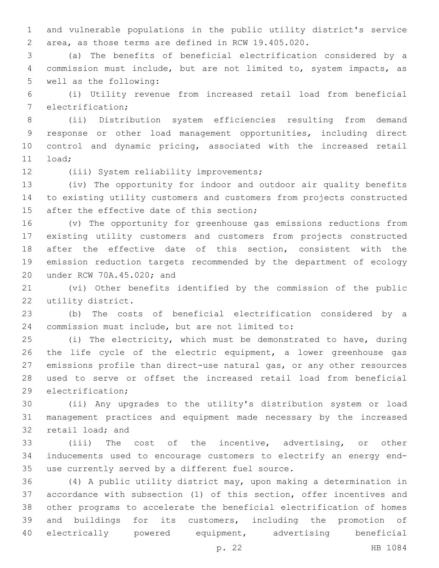and vulnerable populations in the public utility district's service area, as those terms are defined in RCW 19.405.020.

 (a) The benefits of beneficial electrification considered by a commission must include, but are not limited to, system impacts, as 5 well as the following:

 (i) Utility revenue from increased retail load from beneficial 7 electrification;

 (ii) Distribution system efficiencies resulting from demand response or other load management opportunities, including direct control and dynamic pricing, associated with the increased retail 11 load;

12 (iii) System reliability improvements;

 (iv) The opportunity for indoor and outdoor air quality benefits to existing utility customers and customers from projects constructed 15 after the effective date of this section;

 (v) The opportunity for greenhouse gas emissions reductions from existing utility customers and customers from projects constructed after the effective date of this section, consistent with the emission reduction targets recommended by the department of ecology 20 under RCW 70A.45.020; and

 (vi) Other benefits identified by the commission of the public 22 utility district.

 (b) The costs of beneficial electrification considered by a 24 commission must include, but are not limited to:

 (i) The electricity, which must be demonstrated to have, during the life cycle of the electric equipment, a lower greenhouse gas emissions profile than direct-use natural gas, or any other resources used to serve or offset the increased retail load from beneficial 29 electrification;

 (ii) Any upgrades to the utility's distribution system or load management practices and equipment made necessary by the increased 32 retail load; and

 (iii) The cost of the incentive, advertising, or other inducements used to encourage customers to electrify an energy end-35 use currently served by a different fuel source.

 (4) A public utility district may, upon making a determination in accordance with subsection (1) of this section, offer incentives and other programs to accelerate the beneficial electrification of homes and buildings for its customers, including the promotion of electrically powered equipment, advertising beneficial

p. 22 HB 1084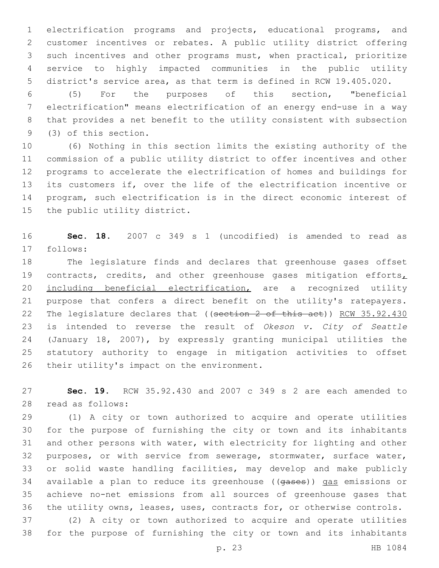electrification programs and projects, educational programs, and customer incentives or rebates. A public utility district offering such incentives and other programs must, when practical, prioritize service to highly impacted communities in the public utility district's service area, as that term is defined in RCW 19.405.020.

 (5) For the purposes of this section, "beneficial electrification" means electrification of an energy end-use in a way that provides a net benefit to the utility consistent with subsection 9 (3) of this section.

 (6) Nothing in this section limits the existing authority of the commission of a public utility district to offer incentives and other programs to accelerate the electrification of homes and buildings for its customers if, over the life of the electrification incentive or program, such electrification is in the direct economic interest of 15 the public utility district.

 **Sec. 18.** 2007 c 349 s 1 (uncodified) is amended to read as follows:17

 The legislature finds and declares that greenhouse gases offset 19 contracts, credits, and other greenhouse gases mitigation efforts, including beneficial electrification, are a recognized utility purpose that confers a direct benefit on the utility's ratepayers. 22 The legislature declares that ((section 2 of this act)) RCW 35.92.430 is intended to reverse the result of *Okeson v. City of Seattle*  (January 18, 2007), by expressly granting municipal utilities the statutory authority to engage in mitigation activities to offset 26 their utility's impact on the environment.

 **Sec. 19.** RCW 35.92.430 and 2007 c 349 s 2 are each amended to 28 read as follows:

 (1) A city or town authorized to acquire and operate utilities for the purpose of furnishing the city or town and its inhabitants and other persons with water, with electricity for lighting and other purposes, or with service from sewerage, stormwater, surface water, or solid waste handling facilities, may develop and make publicly available a plan to reduce its greenhouse ((gases)) gas emissions or achieve no-net emissions from all sources of greenhouse gases that the utility owns, leases, uses, contracts for, or otherwise controls.

 (2) A city or town authorized to acquire and operate utilities for the purpose of furnishing the city or town and its inhabitants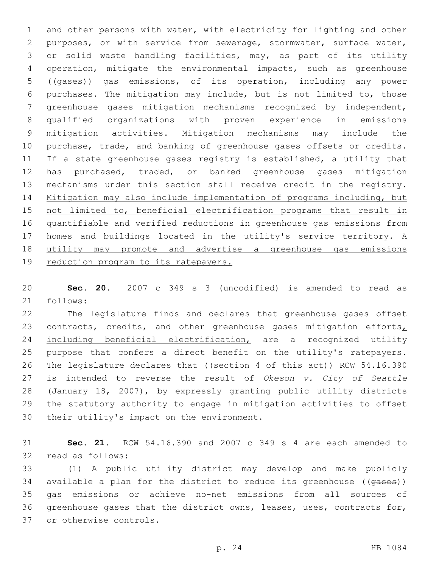and other persons with water, with electricity for lighting and other purposes, or with service from sewerage, stormwater, surface water, or solid waste handling facilities, may, as part of its utility operation, mitigate the environmental impacts, such as greenhouse ((gases)) gas emissions, of its operation, including any power purchases. The mitigation may include, but is not limited to, those greenhouse gases mitigation mechanisms recognized by independent, qualified organizations with proven experience in emissions mitigation activities. Mitigation mechanisms may include the purchase, trade, and banking of greenhouse gases offsets or credits. If a state greenhouse gases registry is established, a utility that has purchased, traded, or banked greenhouse gases mitigation mechanisms under this section shall receive credit in the registry. Mitigation may also include implementation of programs including, but 15 not limited to, beneficial electrification programs that result in quantifiable and verified reductions in greenhouse gas emissions from homes and buildings located in the utility's service territory. A utility may promote and advertise a greenhouse gas emissions 19 reduction program to its ratepayers.

 **Sec. 20.** 2007 c 349 s 3 (uncodified) is amended to read as 21 follows:

 The legislature finds and declares that greenhouse gases offset 23 contracts, credits, and other greenhouse gases mitigation efforts, 24 including beneficial electrification, are a recognized utility purpose that confers a direct benefit on the utility's ratepayers. 26 The legislature declares that ((section 4 of this act)) RCW 54.16.390 is intended to reverse the result of *Okeson v. City of Seattle*  (January 18, 2007), by expressly granting public utility districts the statutory authority to engage in mitigation activities to offset 30 their utility's impact on the environment.

 **Sec. 21.** RCW 54.16.390 and 2007 c 349 s 4 are each amended to 32 read as follows:

 (1) A public utility district may develop and make publicly 34 available a plan for the district to reduce its greenhouse ((gases)) gas emissions or achieve no-net emissions from all sources of greenhouse gases that the district owns, leases, uses, contracts for, 37 or otherwise controls.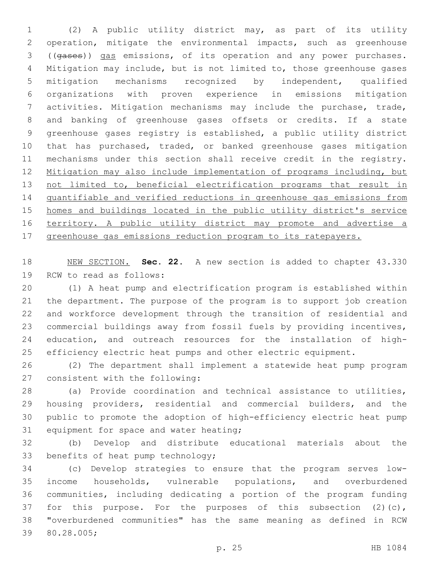(2) A public utility district may, as part of its utility operation, mitigate the environmental impacts, such as greenhouse ((gases)) gas emissions, of its operation and any power purchases. Mitigation may include, but is not limited to, those greenhouse gases mitigation mechanisms recognized by independent, qualified organizations with proven experience in emissions mitigation activities. Mitigation mechanisms may include the purchase, trade, and banking of greenhouse gases offsets or credits. If a state greenhouse gases registry is established, a public utility district 10 that has purchased, traded, or banked greenhouse gases mitigation mechanisms under this section shall receive credit in the registry. Mitigation may also include implementation of programs including, but 13 not limited to, beneficial electrification programs that result in quantifiable and verified reductions in greenhouse gas emissions from homes and buildings located in the public utility district's service 16 territory. A public utility district may promote and advertise a greenhouse gas emissions reduction program to its ratepayers.

 NEW SECTION. **Sec. 22.** A new section is added to chapter 43.330 19 RCW to read as follows:

 (1) A heat pump and electrification program is established within the department. The purpose of the program is to support job creation and workforce development through the transition of residential and commercial buildings away from fossil fuels by providing incentives, education, and outreach resources for the installation of high-efficiency electric heat pumps and other electric equipment.

 (2) The department shall implement a statewide heat pump program 27 consistent with the following:

 (a) Provide coordination and technical assistance to utilities, housing providers, residential and commercial builders, and the public to promote the adoption of high-efficiency electric heat pump 31 equipment for space and water heating;

 (b) Develop and distribute educational materials about the 33 benefits of heat pump technology;

 (c) Develop strategies to ensure that the program serves low- income households, vulnerable populations, and overburdened communities, including dedicating a portion of the program funding 37 for this purpose. For the purposes of this subsection (2)(c), "overburdened communities" has the same meaning as defined in RCW 39 80.28.005;